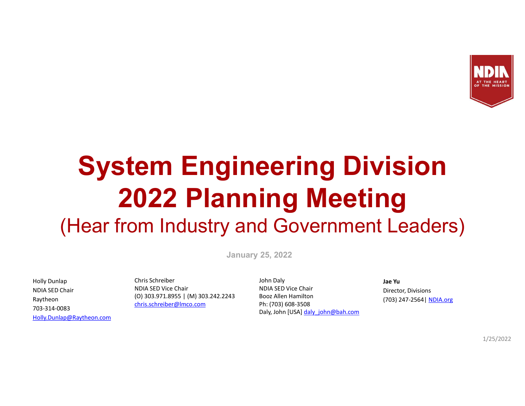

# System Engineering Division 2022 Planning Meeting (Hear from Industry and Government Leaders)

January 25, 2022

NDIA SED Chair Raytheon 703-314-0083 Holly.Dunlap@Raytheon.com

Holly Dunlap Chris Schreiber NDIA SED Vice Chair (O) 303.971.8955 | (M) 303.242.2243 chris.schreiber@lmco.com

John Daly NDIA SED Vice Chair Booz Allen Hamilton Ph: (703) 608-3508 Daly, John [USA] daly john@bah.com

#### Jae Yu

Director, Divisions (703) 247-2564| NDIA.org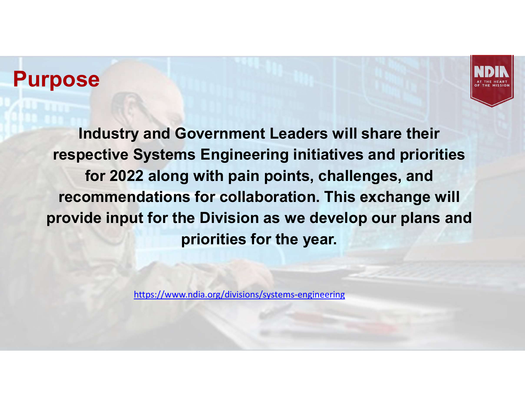## Purpose



Industry and Government Leaders will share their respective Systems Engineering initiatives and priorities for 2022 along with pain points, challenges, and recommendations for collaboration. This exchange will provide input for the Division as we develop our plans and priorities for the year.

https://www.ndia.org/divisions/systems-engineering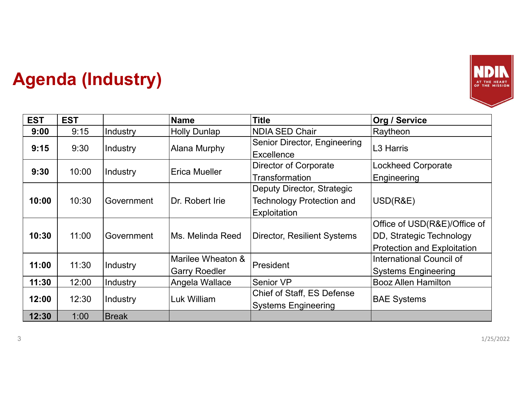

### Agenda (Industry)

|            |            | <b>Agenda (Industry)</b> |                                           |                                                                                | AT THE HEART<br>OF THE MISSION                                                          |
|------------|------------|--------------------------|-------------------------------------------|--------------------------------------------------------------------------------|-----------------------------------------------------------------------------------------|
| <b>EST</b> | <b>EST</b> |                          | <b>Name</b>                               | <b>Title</b>                                                                   | <b>Org / Service</b>                                                                    |
| 9:00       | 9:15       | Industry                 | <b>Holly Dunlap</b>                       | <b>NDIA SED Chair</b>                                                          | Raytheon                                                                                |
| 9:15       | 9:30       | <b>Industry</b>          | <b>Alana Murphy</b>                       | Senior Director, Engineering<br><b>Excellence</b>                              | L3 Harris                                                                               |
| 9:30       | 10:00      | Industry                 | Erica Mueller                             | Director of Corporate                                                          | <b>Lockheed Corporate</b>                                                               |
|            |            |                          |                                           | <b>Transformation</b>                                                          | Engineering                                                                             |
| 10:00      | 10:30      | Government               | Dr. Robert Irie                           | Deputy Director, Strategic<br><b>Technology Protection and</b><br>Exploitation | USD(R&E)                                                                                |
| 10:30      | 11:00      | Government               | Ms. Melinda Reed                          | <b>Director, Resilient Systems</b>                                             | Office of USD(R&E)/Office of<br>DD, Strategic Technology<br>Protection and Exploitation |
| 11:00      | 11:30      | Industry                 | Marilee Wheaton &<br><b>Garry Roedler</b> | President                                                                      | International Council of<br><b>Systems Engineering</b>                                  |
| 11:30      | 12:00      | Industry                 | Angela Wallace                            | Senior VP                                                                      | <b>Booz Allen Hamilton</b>                                                              |
| 12:00      | 12:30      | Industry                 | Luk William                               | Chief of Staff, ES Defense<br><b>Systems Engineering</b>                       | <b>BAE Systems</b>                                                                      |
|            | 1:00       | Break                    |                                           |                                                                                |                                                                                         |